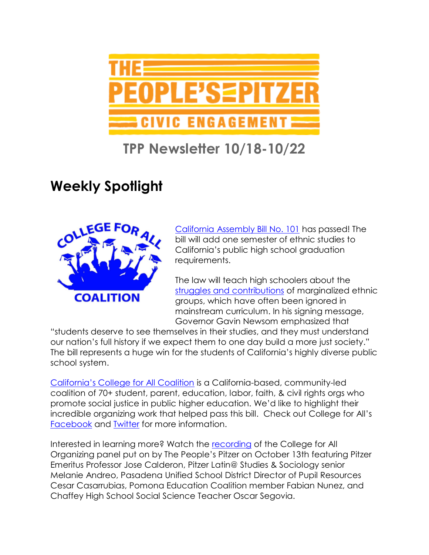

# **TPP Newsletter 10/18-10/22**

# **Weekly Spotlight**



[California Assembly Bill No. 101](https://leginfo.legislature.ca.gov/faces/billNavClient.xhtml?bill_id=202120220AB101) has passed! The bill will add one semester of ethnic studies to California's public high school graduation requirements.

The law will teach high schoolers about the [struggles and contributions](https://www.nytimes.com/2021/10/14/us/california-public-high-school-ethnic-studies.html) of marginalized ethnic groups, which have often been ignored in mainstream curriculum. In his signing message, Governor Gavin Newsom emphasized that

"students deserve to see themselves in their studies, and they must understand our nation's full history if we expect them to one day build a more just society." The bill represents a huge win for the students of California's highly diverse public school system.

[California's College for All Coalition](https://www.facebook.com/collegeforallcoalition/) is a California-based, community-led coalition of 70+ student, parent, education, labor, faith, & civil rights orgs who promote social justice in public higher education. We'd like to highlight their incredible organizing work that helped pass this bill. Check out College for All's [Facebook](https://www.facebook.com/collegeforallcoalition/) and [Twitter](https://twitter.com/college4allca?lang=en) for more information.

Interested in learning more? Watch the [recording](https://youtu.be/l1gOV8QKwfQ) of the College for All Organizing panel put on by The People's Pitzer on October 13th featuring Pitzer Emeritus Professor Jose Calderon, Pitzer Latin@ Studies & Sociology senior Melanie Andreo, Pasadena Unified School District Director of Pupil Resources Cesar Casarrubias, Pomona Education Coalition member Fabian Nunez, and Chaffey High School Social Science Teacher Oscar Segovia.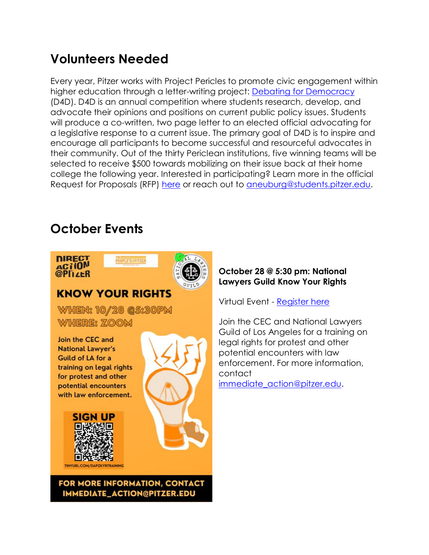## **Volunteers Needed**

Every year, Pitzer works with Project Pericles to promote civic engagement within higher education through a letter-writing project: [Debating for Democracy](https://www.projectpericles.org/debating-for-democracy-d4d.html) (D4D). D4D is an annual competition where students research, develop, and advocate their opinions and positions on current public policy issues. Students will produce a co-written, two page letter to an elected official advocating for a legislative response to a current issue. The primary goal of D4D is to inspire and encourage all participants to become successful and resourceful advocates in their community. Out of the thirty Periclean institutions, five winning teams will be selected to receive \$500 towards mobilizing on their issue back at their home college the following year. Interested in participating? Learn more in the official Request for Proposals (RFP) [here](https://drive.google.com/file/d/1l-2bH00Sbyn9_FxA-j7HVGQgs8Zd2w0S/view?usp=sharing) or reach out to [aneuburg@students.pitzer.edu.](mailto:aneuburg@students.pitzer.edu)

## **October Events**





#### **KNOW YOUR RIGHTS**

PEOPLE'S=PITZER

FOR MORE INFORMATION, CONTACT IMMEDIATE\_ACTION@PITZER.EDU

**WHEN: 10/28 @5:30PM WHERE: ZOOM** 

Join the CEC and **National Lawyer's** Guild of LA for a training on legal rights for protest and other potential encounters with law enforcement.





#### **October 28 @ 5:30 pm: National Lawyers Guild Know Your Rights**

Virtual Event - [Register here](https://pitzer.zoom.us/meeting/register/tZctduCrqz4sHtFmdOGGynkBQnbO9-U6R3rZ)

Join the CEC and National Lawyers Guild of Los Angeles for a training on legal rights for protest and other potential encounters with law enforcement. For more information, contact

[immediate\\_action@pitzer.edu.](mailto:immediate_action@pitzer.edu)